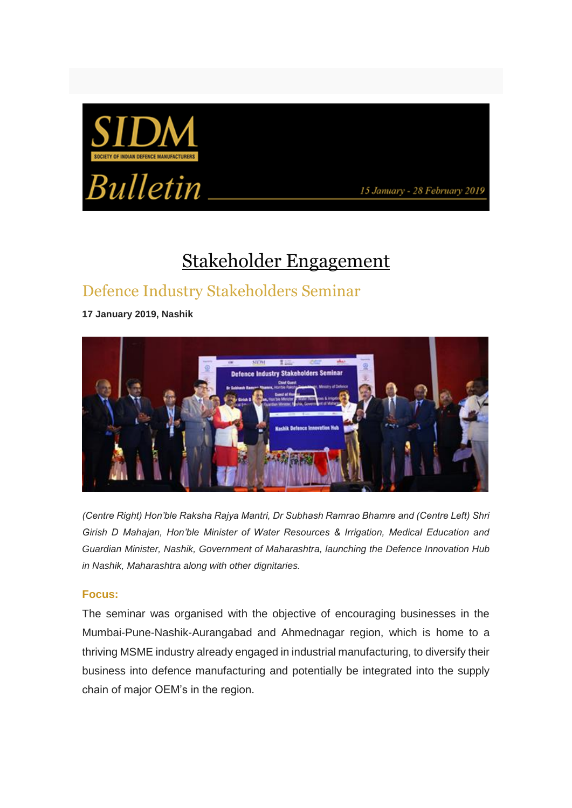



15 January - 28 February 2019

# Stakeholder Engagement

### Defence Industry Stakeholders Seminar

**17 January 2019, Nashik**



*(Centre Right) Hon'ble Raksha Rajya Mantri, Dr Subhash Ramrao Bhamre and (Centre Left) Shri Girish D Mahajan, Hon'ble Minister of Water Resources & Irrigation, Medical Education and Guardian Minister, Nashik, Government of Maharashtra, launching the Defence Innovation Hub in Nashik, Maharashtra along with other dignitaries.*

#### **Focus:**

The seminar was organised with the objective of encouraging businesses in the Mumbai-Pune-Nashik-Aurangabad and Ahmednagar region, which is home to a thriving MSME industry already engaged in industrial manufacturing, to diversify their business into defence manufacturing and potentially be integrated into the supply chain of major OEM's in the region.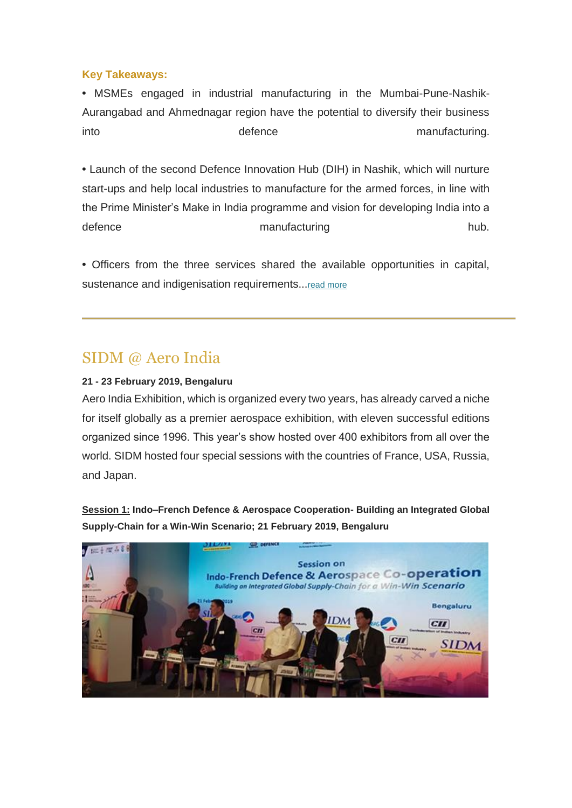#### **Key Takeaways:**

**•** MSMEs engaged in industrial manufacturing in the Mumbai-Pune-Nashik-Aurangabad and Ahmednagar region have the potential to diversify their business into defence manufacturing.

**•** Launch of the second Defence Innovation Hub (DIH) in Nashik, which will nurture start-ups and help local industries to manufacture for the armed forces, in line with the Prime Minister's Make in India programme and vision for developing India into a defence hub. The manufacturing manufacturing hub.

**•** Officers from the three services shared the available opportunities in capital, sustenance and indigenisation requirements...read more

### SIDM @ Aero India

#### **21 - 23 February 2019, Bengaluru**

Aero India Exhibition, which is organized every two years, has already carved a niche for itself globally as a premier aerospace exhibition, with eleven successful editions organized since 1996. This year's show hosted over 400 exhibitors from all over the world. SIDM hosted four special sessions with the countries of France, USA, Russia, and Japan.

**Session 1: Indo–French Defence & Aerospace Cooperation- Building an Integrated Global Supply-Chain for a Win-Win Scenario; 21 February 2019, Bengaluru**

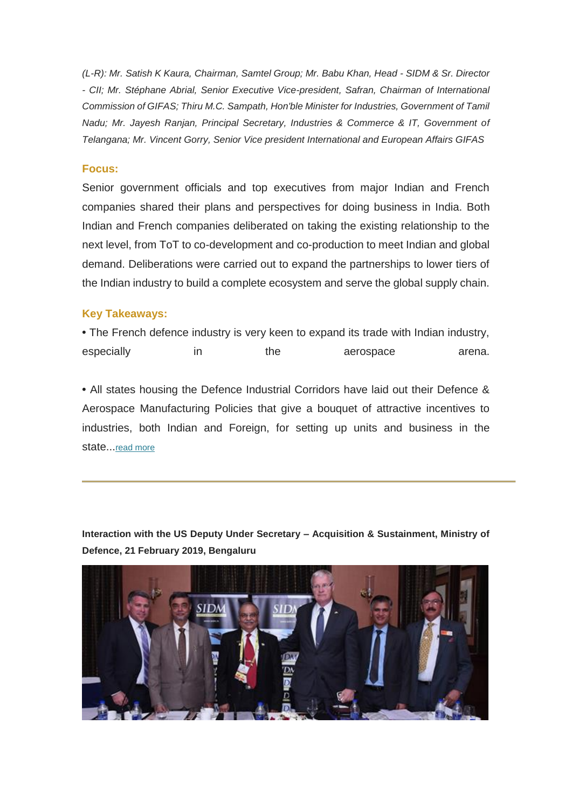*(L-R): Mr. Satish K Kaura, Chairman, Samtel Group; Mr. Babu Khan, Head - SIDM & Sr. Director - CII; Mr. Stéphane Abrial, Senior Executive Vice-president, Safran, Chairman of International Commission of GIFAS; Thiru M.C. Sampath, Hon'ble Minister for Industries, Government of Tamil Nadu; Mr. Jayesh Ranjan, Principal Secretary, Industries & Commerce & IT, Government of Telangana; Mr. Vincent Gorry, Senior Vice president International and European Affairs GIFAS*

#### **Focus:**

Senior government officials and top executives from major Indian and French companies shared their plans and perspectives for doing business in India. Both Indian and French companies deliberated on taking the existing relationship to the next level, from ToT to co-development and co-production to meet Indian and global demand. Deliberations were carried out to expand the partnerships to lower tiers of the Indian industry to build a complete ecosystem and serve the global supply chain.

#### **Key Takeaways:**

**•** The French defence industry is very keen to expand its trade with Indian industry, especially in the aerospace arena.

**•** All states housing the Defence Industrial Corridors have laid out their Defence & Aerospace Manufacturing Policies that give a bouquet of attractive incentives to industries, both Indian and Foreign, for setting up units and business in the state...read more

**Interaction with the US Deputy Under Secretary – Acquisition & Sustainment, Ministry of Defence, 21 February 2019, Bengaluru**

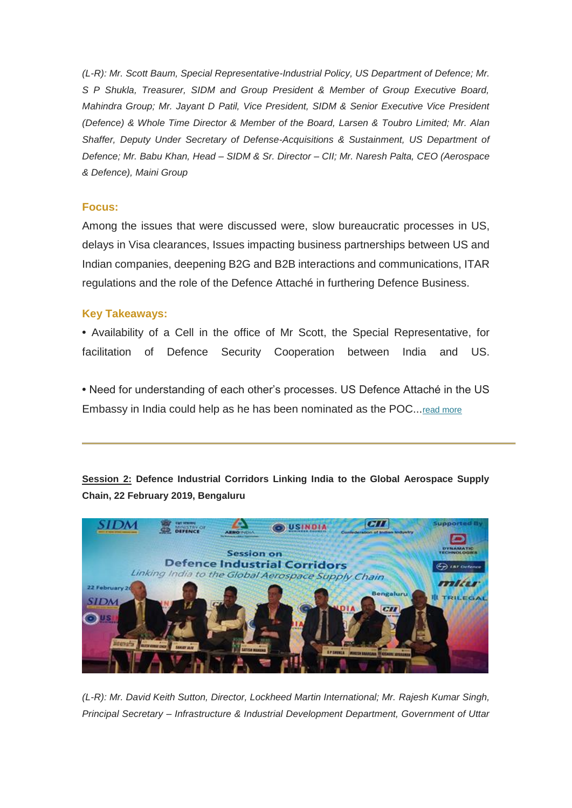*(L-R): Mr. Scott Baum, Special Representative-Industrial Policy, US Department of Defence; Mr. S P Shukla, Treasurer, SIDM and Group President & Member of Group Executive Board, Mahindra Group; Mr. Jayant D Patil, Vice President, SIDM & Senior Executive Vice President (Defence) & Whole Time Director & Member of the Board, Larsen & Toubro Limited; Mr. Alan Shaffer, Deputy Under Secretary of Defense-Acquisitions & Sustainment, US Department of Defence; Mr. Babu Khan, Head – SIDM & Sr. Director – CII; Mr. Naresh Palta, CEO (Aerospace & Defence), Maini Group* 

#### **Focus:**

Among the issues that were discussed were, slow bureaucratic processes in US, delays in Visa clearances, Issues impacting business partnerships between US and Indian companies, deepening B2G and B2B interactions and communications, ITAR regulations and the role of the Defence Attaché in furthering Defence Business.

#### **Key Takeaways:**

**•** Availability of a Cell in the office of Mr Scott, the Special Representative, for facilitation of Defence Security Cooperation between India and US.

**•** Need for understanding of each other's processes. US Defence Attaché in the US Embassy in India could help as he has been nominated as the POC...[read more](https://apac01.safelinks.protection.outlook.com/?url=http%3A%2F%2Femaila.ciimails.in%2Fciis%2Fltimdt.php%3Fid%3DLR5UUgZVBQEEVEpUCwoKVBg%3DU1ENUFRLX1RBRFxZXg90BgsNTF8P&data=02%7C01%7C%7Cd51ef796b0a242afdc2608d6a16a0417%7Ce749ab1b73da4549a0cf1abb0ffbb817%7C0%7C0%7C636873874051460333&sdata=92WbyOcZiEzOxM88nn6li4jQUQLcpP7XvMf02NPjm5E%3D&reserved=0) 

**Session 2: Defence Industrial Corridors Linking India to the Global Aerospace Supply Chain, 22 February 2019, Bengaluru**



*(L-R): Mr. David Keith Sutton, Director, Lockheed Martin International; Mr. Rajesh Kumar Singh, Principal Secretary – Infrastructure & Industrial Development Department, Government of Uttar*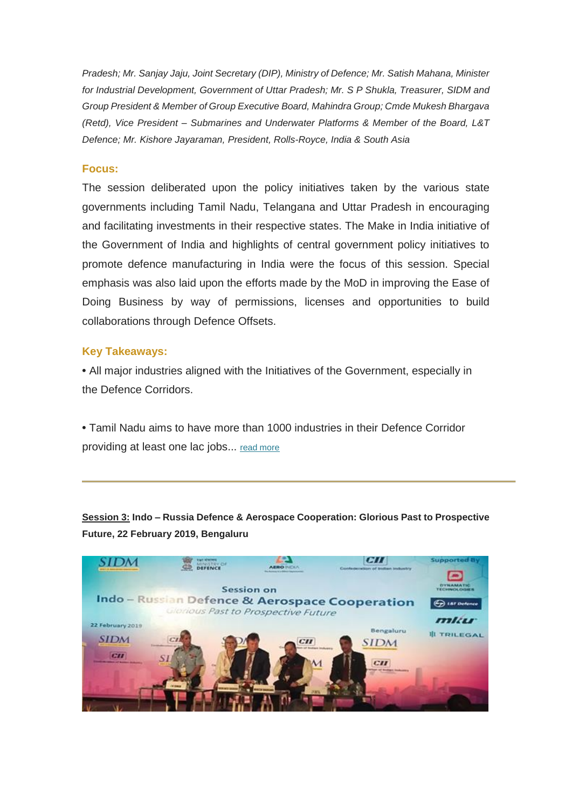*Pradesh; Mr. Sanjay Jaju, Joint Secretary (DIP), Ministry of Defence; Mr. Satish Mahana, Minister for Industrial Development, Government of Uttar Pradesh; Mr. S P Shukla, Treasurer, SIDM and Group President & Member of Group Executive Board, Mahindra Group; Cmde Mukesh Bhargava (Retd), Vice President – Submarines and Underwater Platforms & Member of the Board, L&T Defence; Mr. Kishore Jayaraman, President, Rolls-Royce, India & South Asia* 

#### **Focus:**

The session deliberated upon the policy initiatives taken by the various state governments including Tamil Nadu, Telangana and Uttar Pradesh in encouraging and facilitating investments in their respective states. The Make in India initiative of the Government of India and highlights of central government policy initiatives to promote defence manufacturing in India were the focus of this session. Special emphasis was also laid upon the efforts made by the MoD in improving the Ease of Doing Business by way of permissions, licenses and opportunities to build collaborations through Defence Offsets.

#### **Key Takeaways:**

**•** All major industries aligned with the Initiatives of the Government, especially in the Defence Corridors.

**•** Tamil Nadu aims to have more than 1000 industries in their Defence Corridor providing at least one lac jobs... [read more](https://apac01.safelinks.protection.outlook.com/?url=http%3A%2F%2Femaila.ciimails.in%2Fciis%2Fltimdt.php%3Fid%3DLR5UUgZVBQEEV0pUCwoKVBg%3DU1ENUFRLX1RBRFxZXg90BgsNTF8P&data=02%7C01%7C%7Cd51ef796b0a242afdc2608d6a16a0417%7Ce749ab1b73da4549a0cf1abb0ffbb817%7C0%7C0%7C636873874051460333&sdata=8RLWOJ6UIQF3fAp87dH3BVJXa62PG6a%2FEMX5ZsrngBY%3D&reserved=0) 

**Session 3: Indo – Russia Defence & Aerospace Cooperation: Glorious Past to Prospective Future, 22 February 2019, Bengaluru**

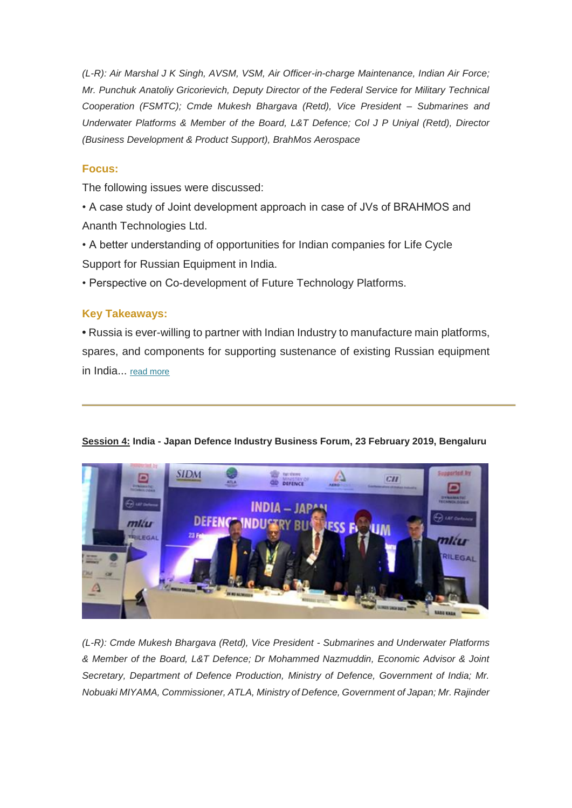*(L-R): Air Marshal J K Singh, AVSM, VSM, Air Officer-in-charge Maintenance, Indian Air Force; Mr. Punchuk Anatoliy Gricorievich, Deputy Director of the Federal Service for Military Technical Cooperation (FSMTC); Cmde Mukesh Bhargava (Retd), Vice President – Submarines and Underwater Platforms & Member of the Board, L&T Defence; Col J P Uniyal (Retd), Director (Business Development & Product Support), BrahMos Aerospace* 

#### **Focus:**

The following issues were discussed:

- A case study of Joint development approach in case of JVs of BRAHMOS and Ananth Technologies Ltd.
- A better understanding of opportunities for Indian companies for Life Cycle Support for Russian Equipment in India.

• Perspective on Co-development of Future Technology Platforms.

#### **Key Takeaways:**

**•** Russia is ever-willing to partner with Indian Industry to manufacture main platforms, spares, and components for supporting sustenance of existing Russian equipment in India... [read more](https://apac01.safelinks.protection.outlook.com/?url=http%3A%2F%2Femaila.ciimails.in%2Fciis%2Fltimdt.php%3Fid%3DLR5UUgZVBQEEV0pUCwoKVBg%3DU1ENUFRLX1RBRFxZXg90BgsNTF8P&data=02%7C01%7C%7Cd51ef796b0a242afdc2608d6a16a0417%7Ce749ab1b73da4549a0cf1abb0ffbb817%7C0%7C0%7C636873874051470338&sdata=JNlITLf2AvtQEUnAPkmxOjxjHVJiKz4cUcEO8vQbbNU%3D&reserved=0) 

#### **Session 4: India - Japan Defence Industry Business Forum, 23 February 2019, Bengaluru**



*(L-R): Cmde Mukesh Bhargava (Retd), Vice President - Submarines and Underwater Platforms & Member of the Board, L&T Defence; Dr Mohammed Nazmuddin, Economic Advisor & Joint Secretary, Department of Defence Production, Ministry of Defence, Government of India; Mr. Nobuaki MIYAMA, Commissioner, ATLA, Ministry of Defence, Government of Japan; Mr. Rajinder*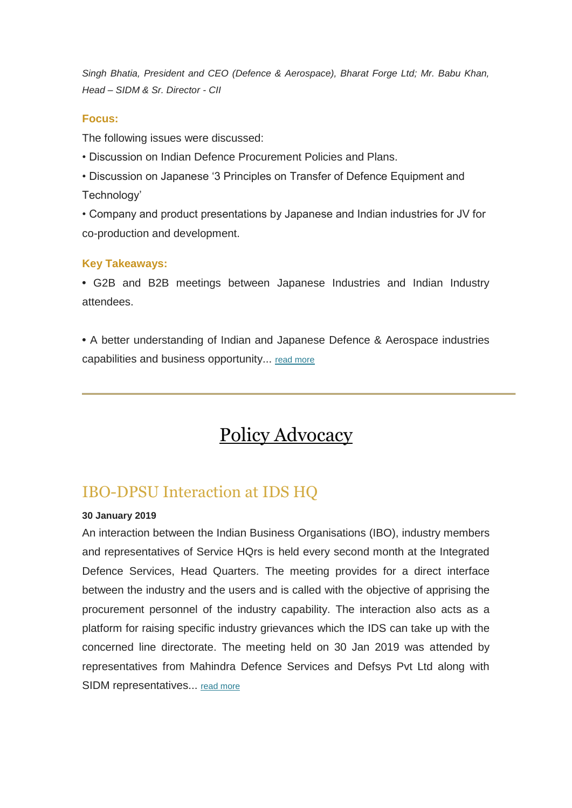*Singh Bhatia, President and CEO (Defence & Aerospace), Bharat Forge Ltd; Mr. Babu Khan, Head – SIDM & Sr. Director - CII* 

#### **Focus:**

The following issues were discussed:

- Discussion on Indian Defence Procurement Policies and Plans.
- Discussion on Japanese '3 Principles on Transfer of Defence Equipment and Technology'

• Company and product presentations by Japanese and Indian industries for JV for co-production and development.

#### **Key Takeaways:**

**•** G2B and B2B meetings between Japanese Industries and Indian Industry attendees.

**•** A better understanding of Indian and Japanese Defence & Aerospace industries capabilities and business opportunity... [read more](https://apac01.safelinks.protection.outlook.com/?url=http%3A%2F%2Femaila.ciimails.in%2Fciis%2Fltimdt.php%3Fid%3DLR5UUgZVBQEEVkpUCwoKVBg%3DU1ENUFRLX1RBRFxZXg90BgsNTF8P&data=02%7C01%7C%7Cd51ef796b0a242afdc2608d6a16a0417%7Ce749ab1b73da4549a0cf1abb0ffbb817%7C0%7C0%7C636873874051470338&sdata=4xxi2nS02%2B1RSDncAru6q0YKmEqks847JLNC2Q%2B5gvs%3D&reserved=0) 

## Policy Advocacy

### IBO-DPSU Interaction at IDS HQ

#### **30 January 2019**

An interaction between the Indian Business Organisations (IBO), industry members and representatives of Service HQrs is held every second month at the Integrated Defence Services, Head Quarters. The meeting provides for a direct interface between the industry and the users and is called with the objective of apprising the procurement personnel of the industry capability. The interaction also acts as a platform for raising specific industry grievances which the IDS can take up with the concerned line directorate. The meeting held on 30 Jan 2019 was attended by representatives from Mahindra Defence Services and Defsys Pvt Ltd along with SIDM representatives... [read more](https://apac01.safelinks.protection.outlook.com/?url=http%3A%2F%2Femaila.ciimails.in%2Fciis%2Fltimdt.php%3Fid%3DLR5UUgZVBQEEUUpUCwoKVBg%3DU1ENUFRLX1RBRFxZXg90BgsNTF8P&data=02%7C01%7C%7Cd51ef796b0a242afdc2608d6a16a0417%7Ce749ab1b73da4549a0cf1abb0ffbb817%7C0%7C0%7C636873874051480347&sdata=5JEl3fOIMLb2rd5xcrFroUrRmAb7D4iSQE0jw%2BbR%2FNM%3D&reserved=0)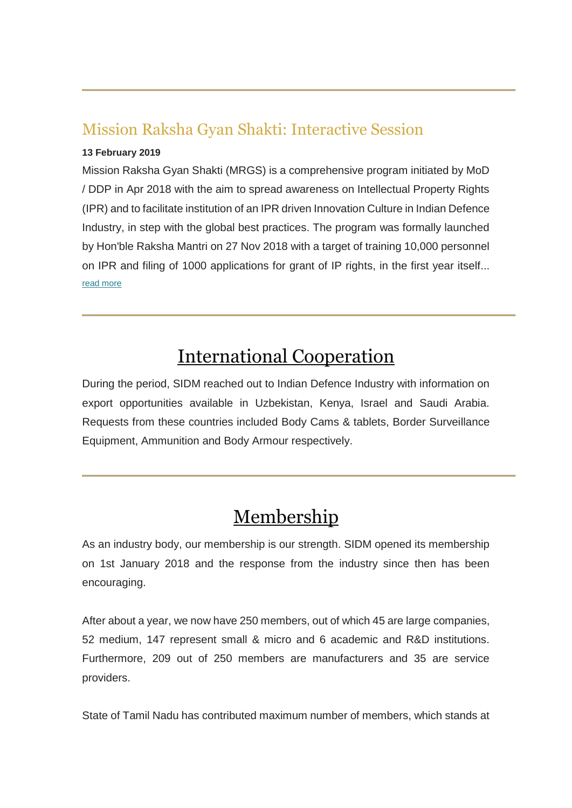### Mission Raksha Gyan Shakti: Interactive Session

#### **13 February 2019**

Mission Raksha Gyan Shakti (MRGS) is a comprehensive program initiated by MoD / DDP in Apr 2018 with the aim to spread awareness on Intellectual Property Rights (IPR) and to facilitate institution of an IPR driven Innovation Culture in Indian Defence Industry, in step with the global best practices. The program was formally launched by Hon'ble Raksha Mantri on 27 Nov 2018 with a target of training 10,000 personnel on IPR and filing of 1000 applications for grant of IP rights, in the first year itself... [read more](https://apac01.safelinks.protection.outlook.com/?url=http%3A%2F%2Femaila.ciimails.in%2Fciis%2Fltimdt.php%3Fid%3DLR5UUgZVBQEEUEpUCwoKVBg%3DU1ENUFRLX1RBRFxZXg90BgsNTF8P&data=02%7C01%7C%7Cd51ef796b0a242afdc2608d6a16a0417%7Ce749ab1b73da4549a0cf1abb0ffbb817%7C0%7C0%7C636873874051480347&sdata=ktjTgCs413qauN%2B0O%2FuWdDo6dC6rbFFLf0ykt06R8GM%3D&reserved=0)

## International Cooperation

During the period, SIDM reached out to Indian Defence Industry with information on export opportunities available in Uzbekistan, Kenya, Israel and Saudi Arabia. Requests from these countries included Body Cams & tablets, Border Surveillance Equipment, Ammunition and Body Armour respectively.

### Membership

As an industry body, our membership is our strength. SIDM opened its membership on 1st January 2018 and the response from the industry since then has been encouraging.

After about a year, we now have 250 members, out of which 45 are large companies, 52 medium, 147 represent small & micro and 6 academic and R&D institutions. Furthermore, 209 out of 250 members are manufacturers and 35 are service providers.

State of Tamil Nadu has contributed maximum number of members, which stands at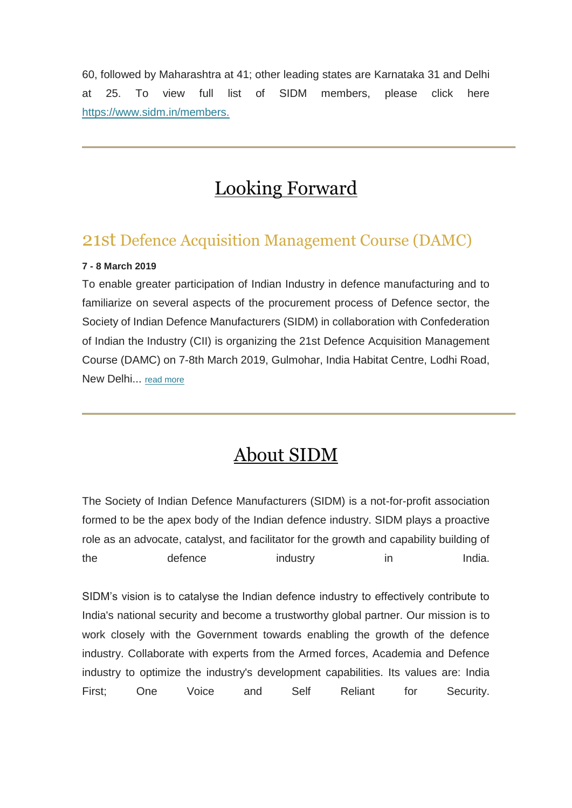60, followed by Maharashtra at 41; other leading states are Karnataka 31 and Delhi at 25. To view full list of SIDM members, please click here [https://www.sidm.in/members.](https://apac01.safelinks.protection.outlook.com/?url=http%3A%2F%2Femaila.ciimails.in%2Fciis%2Fltimdt.php%3Fid%3DLR5UUgZVBQEEU0pUCwoKVBg%3DU1ENUFRLX1RBRFxZXg90BgsNTF8P&data=02%7C01%7C%7Cd51ef796b0a242afdc2608d6a16a0417%7Ce749ab1b73da4549a0cf1abb0ffbb817%7C0%7C0%7C636873874051490352&sdata=UeOiq80SbozUaGrUsnryZtbLFnhovZL2eBcZHAEyWZM%3D&reserved=0)

## Looking Forward

### 21st Defence Acquisition Management Course (DAMC)

#### **7 - 8 March 2019**

To enable greater participation of Indian Industry in defence manufacturing and to familiarize on several aspects of the procurement process of Defence sector, the Society of Indian Defence Manufacturers (SIDM) in collaboration with Confederation of Indian the Industry (CII) is organizing the 21st Defence Acquisition Management Course (DAMC) on 7-8th March 2019, Gulmohar, India Habitat Centre, Lodhi Road, New Delhi... [read more](https://apac01.safelinks.protection.outlook.com/?url=http%3A%2F%2Femaila.ciimails.in%2Fciis%2Fltimdt.php%3Fid%3DLR5UUgZVBQEEUkpUCwoKVBg%3DU1ENUFRLX1RBRFxZXg90BgsNTF8P&data=02%7C01%7C%7Cd51ef796b0a242afdc2608d6a16a0417%7Ce749ab1b73da4549a0cf1abb0ffbb817%7C0%7C0%7C636873874051490352&sdata=SDGEntjyC5Uq1hOVjIGQwlno8NbMyEOKNR4ytWdiZhE%3D&reserved=0)

### About SIDM

The Society of Indian Defence Manufacturers (SIDM) is a not-for-profit association formed to be the apex body of the Indian defence industry. SIDM plays a proactive role as an advocate, catalyst, and facilitator for the growth and capability building of the defence industry in in India.

SIDM's vision is to catalyse the Indian defence industry to effectively contribute to India's national security and become a trustworthy global partner. Our mission is to work closely with the Government towards enabling the growth of the defence industry. Collaborate with experts from the Armed forces, Academia and Defence industry to optimize the industry's development capabilities. Its values are: India First; One Voice and Self Reliant for Security.